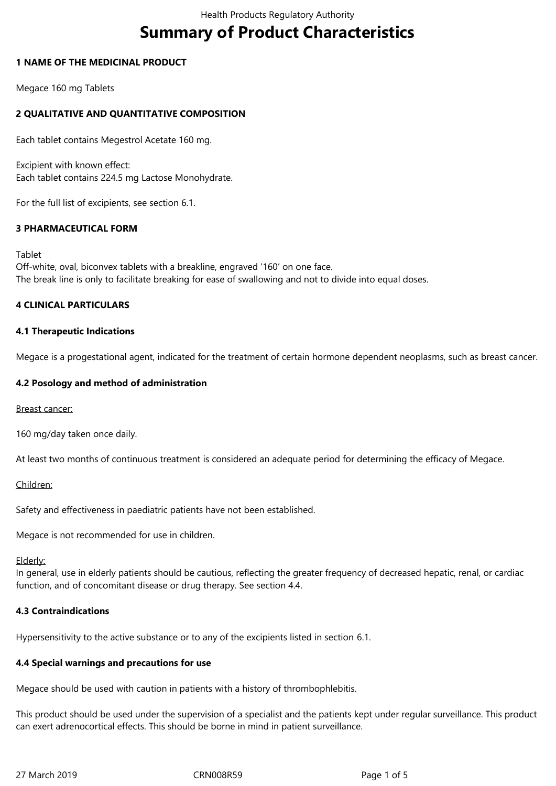# **Summary of Product Characteristics**

## **1 NAME OF THE MEDICINAL PRODUCT**

Megace 160 mg Tablets

# **2 QUALITATIVE AND QUANTITATIVE COMPOSITION**

Each tablet contains Megestrol Acetate 160 mg.

Excipient with known effect: Each tablet contains 224.5 mg Lactose Monohydrate.

For the full list of excipients, see section 6.1.

# **3 PHARMACEUTICAL FORM**

Tablet

Off-white, oval, biconvex tablets with a breakline, engraved '160' on one face. The break line is only to facilitate breaking for ease of swallowing and not to divide into equal doses.

# **4 CLINICAL PARTICULARS**

# **4.1 Therapeutic Indications**

Megace is a progestational agent, indicated for the treatment of certain hormone dependent neoplasms, such as breast cancer.

## **4.2 Posology and method of administration**

#### Breast cancer:

160 mg/day taken once daily.

At least two months of continuous treatment is considered an adequate period for determining the efficacy of Megace.

#### Children:

Safety and effectiveness in paediatric patients have not been established.

Megace is not recommended for use in children.

Elderly:

In general, use in elderly patients should be cautious, reflecting the greater frequency of decreased hepatic, renal, or cardiac function, and of concomitant disease or drug therapy. See section 4.4.

# **4.3 Contraindications**

Hypersensitivity to the active substance or to any of the excipients listed in section 6.1.

# **4.4 Special warnings and precautions for use**

Megace should be used with caution in patients with a history of thrombophlebitis.

This product should be used under the supervision of a specialist and the patients kept under regular surveillance. This product can exert adrenocortical effects. This should be borne in mind in patient surveillance.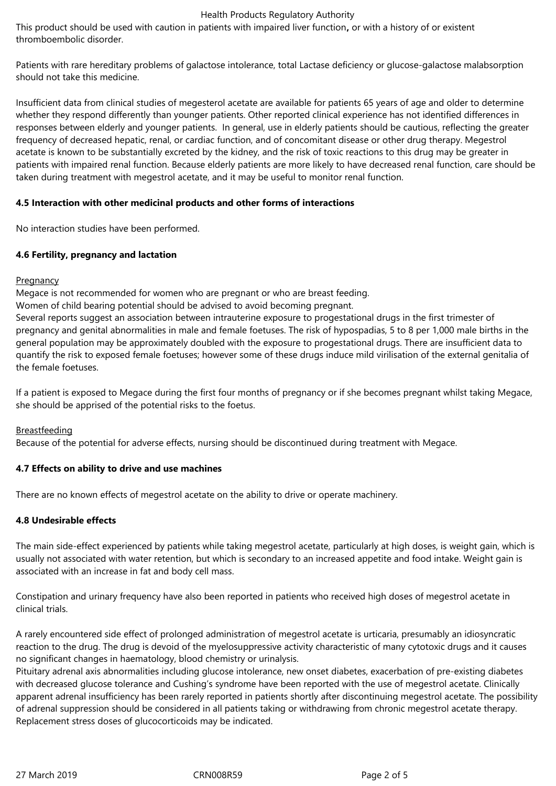#### Health Products Regulatory Authority

This product should be used with caution in patients with impaired liver function**,** or with a history of or existent thromboembolic disorder.

Patients with rare hereditary problems of galactose intolerance, total Lactase deficiency or glucose-galactose malabsorption should not take this medicine.

Insufficient data from clinical studies of megesterol acetate are available for patients 65 years of age and older to determine whether they respond differently than younger patients. Other reported clinical experience has not identified differences in responses between elderly and younger patients. In general, use in elderly patients should be cautious, reflecting the greater frequency of decreased hepatic, renal, or cardiac function, and of concomitant disease or other drug therapy. Megestrol acetate is known to be substantially excreted by the kidney, and the risk of toxic reactions to this drug may be greater in patients with impaired renal function. Because elderly patients are more likely to have decreased renal function, care should be taken during treatment with megestrol acetate, and it may be useful to monitor renal function.

## **4.5 Interaction with other medicinal products and other forms of interactions**

No interaction studies have been performed.

## **4.6 Fertility, pregnancy and lactation**

## **Pregnancy**

Megace is not recommended for women who are pregnant or who are breast feeding.

Women of child bearing potential should be advised to avoid becoming pregnant.

Several reports suggest an association between intrauterine exposure to progestational drugs in the first trimester of pregnancy and genital abnormalities in male and female foetuses. The risk of hypospadias, 5 to 8 per 1,000 male births in the general population may be approximately doubled with the exposure to progestational drugs. There are insufficient data to quantify the risk to exposed female foetuses; however some of these drugs induce mild virilisation of the external genitalia of the female foetuses.

If a patient is exposed to Megace during the first four months of pregnancy or if she becomes pregnant whilst taking Megace, she should be apprised of the potential risks to the foetus.

# Breastfeeding

Because of the potential for adverse effects, nursing should be discontinued during treatment with Megace.

# **4.7 Effects on ability to drive and use machines**

There are no known effects of megestrol acetate on the ability to drive or operate machinery.

# **4.8 Undesirable effects**

The main side-effect experienced by patients while taking megestrol acetate, particularly at high doses, is weight gain, which is usually not associated with water retention, but which is secondary to an increased appetite and food intake. Weight gain is associated with an increase in fat and body cell mass.

Constipation and urinary frequency have also been reported in patients who received high doses of megestrol acetate in clinical trials.

A rarely encountered side effect of prolonged administration of megestrol acetate is urticaria, presumably an idiosyncratic reaction to the drug. The drug is devoid of the myelosuppressive activity characteristic of many cytotoxic drugs and it causes no significant changes in haematology, blood chemistry or urinalysis.

Pituitary adrenal axis abnormalities including glucose intolerance, new onset diabetes, exacerbation of pre-existing diabetes with decreased glucose tolerance and Cushing's syndrome have been reported with the use of megestrol acetate. Clinically apparent adrenal insufficiency has been rarely reported in patients shortly after discontinuing megestrol acetate. The possibility of adrenal suppression should be considered in all patients taking or withdrawing from chronic megestrol acetate therapy. Replacement stress doses of glucocorticoids may be indicated.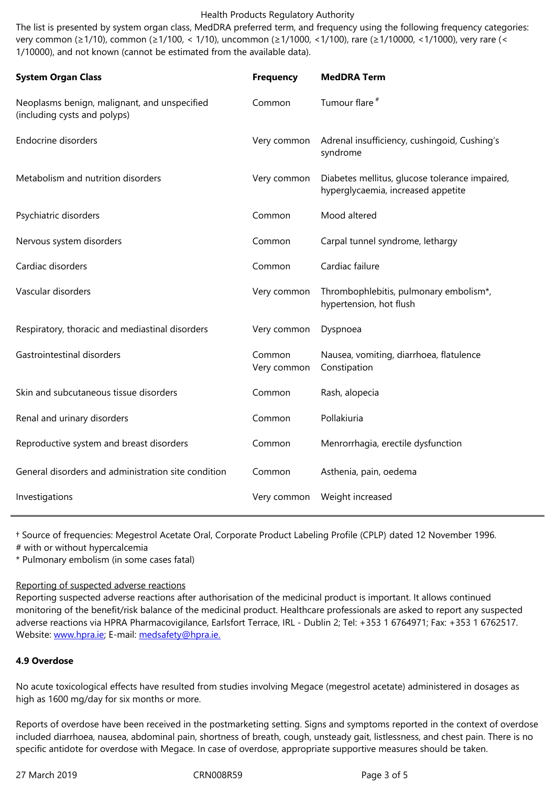1/10000), and not known (cannot be estimated from the available data).

| <b>System Organ Class</b>                                                    | <b>Frequency</b>      | <b>MedDRA Term</b>                                                                   |
|------------------------------------------------------------------------------|-----------------------|--------------------------------------------------------------------------------------|
| Neoplasms benign, malignant, and unspecified<br>(including cysts and polyps) | Common                | Tumour flare <sup>#</sup>                                                            |
| <b>Endocrine disorders</b>                                                   | Very common           | Adrenal insufficiency, cushingoid, Cushing's<br>syndrome                             |
| Metabolism and nutrition disorders                                           | Very common           | Diabetes mellitus, glucose tolerance impaired,<br>hyperglycaemia, increased appetite |
| Psychiatric disorders                                                        | Common                | Mood altered                                                                         |
| Nervous system disorders                                                     | Common                | Carpal tunnel syndrome, lethargy                                                     |
| Cardiac disorders                                                            | Common                | Cardiac failure                                                                      |
| Vascular disorders                                                           | Very common           | Thrombophlebitis, pulmonary embolism*,<br>hypertension, hot flush                    |
| Respiratory, thoracic and mediastinal disorders                              | Very common           | Dyspnoea                                                                             |
| Gastrointestinal disorders                                                   | Common<br>Very common | Nausea, vomiting, diarrhoea, flatulence<br>Constipation                              |
| Skin and subcutaneous tissue disorders                                       | Common                | Rash, alopecia                                                                       |
| Renal and urinary disorders                                                  | Common                | Pollakiuria                                                                          |
| Reproductive system and breast disorders                                     | Common                | Menrorrhagia, erectile dysfunction                                                   |
| General disorders and administration site condition                          | Common                | Asthenia, pain, oedema                                                               |
| Investigations                                                               | Very common           | Weight increased                                                                     |

† Source of frequencies: Megestrol Acetate Oral, Corporate Product Labeling Profile (CPLP) dated 12 November 1996.

# with or without hypercalcemia

\* Pulmonary embolism (in some cases fatal)

# Reporting of suspected adverse reactions

Reporting suspected adverse reactions after authorisation of the medicinal product is important. It allows continued monitoring of the benefit/risk balance of the medicinal product. Healthcare professionals are asked to report any suspected adverse reactions via HPRA Pharmacovigilance, Earlsfort Terrace, IRL - Dublin 2; Tel: +353 1 6764971; Fax: +353 1 6762517. Website: www.hpra.ie; E-mail: medsafety@hpra.ie.

# **4.9 Overdose**

No acute [toxicologica](http://www.hpra.ie/)l effects [have resulted from s](mailto:medsafety@hpra.ie)tudies involving Megace (megestrol acetate) administered in dosages as high as 1600 mg/day for six months or more.

Reports of overdose have been received in the postmarketing setting. Signs and symptoms reported in the context of overdose included diarrhoea, nausea, abdominal pain, shortness of breath, cough, unsteady gait, listlessness, and chest pain. There is no specific antidote for overdose with Megace. In case of overdose, appropriate supportive measures should be taken.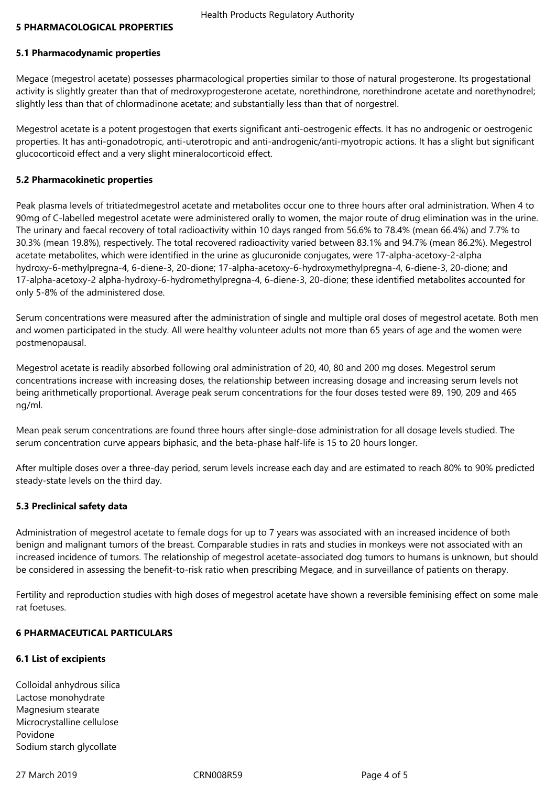#### **5 PHARMACOLOGICAL PROPERTIES**

#### **5.1 Pharmacodynamic properties**

Megace (megestrol acetate) possesses pharmacological properties similar to those of natural progesterone. Its progestational activity is slightly greater than that of medroxyprogesterone acetate, norethindrone, norethindrone acetate and norethynodrel; slightly less than that of chlormadinone acetate; and substantially less than that of norgestrel.

Megestrol acetate is a potent progestogen that exerts significant anti-oestrogenic effects. It has no androgenic or oestrogenic properties. It has anti-gonadotropic, anti-uterotropic and anti-androgenic/anti-myotropic actions. It has a slight but significant glucocorticoid effect and a very slight mineralocorticoid effect.

#### **5.2 Pharmacokinetic properties**

Peak plasma levels of tritiatedmegestrol acetate and metabolites occur one to three hours after oral administration. When 4 to 90mg of C-labelled megestrol acetate were administered orally to women, the major route of drug elimination was in the urine. The urinary and faecal recovery of total radioactivity within 10 days ranged from 56.6% to 78.4% (mean 66.4%) and 7.7% to 30.3% (mean 19.8%), respectively. The total recovered radioactivity varied between 83.1% and 94.7% (mean 86.2%). Megestrol acetate metabolites, which were identified in the urine as glucuronide conjugates, were 17-alpha-acetoxy-2-alpha hydroxy-6-methylpregna-4, 6-diene-3, 20-dione; 17-alpha-acetoxy-6-hydroxymethylpregna-4, 6-diene-3, 20-dione; and 17-alpha-acetoxy-2 alpha-hydroxy-6-hydromethylpregna-4, 6-diene-3, 20-dione; these identified metabolites accounted for only 5-8% of the administered dose.

Serum concentrations were measured after the administration of single and multiple oral doses of megestrol acetate. Both men and women participated in the study. All were healthy volunteer adults not more than 65 years of age and the women were postmenopausal.

Megestrol acetate is readily absorbed following oral administration of 20, 40, 80 and 200 mg doses. Megestrol serum concentrations increase with increasing doses, the relationship between increasing dosage and increasing serum levels not being arithmetically proportional. Average peak serum concentrations for the four doses tested were 89, 190, 209 and 465 ng/ml.

Mean peak serum concentrations are found three hours after single-dose administration for all dosage levels studied. The serum concentration curve appears biphasic, and the beta-phase half-life is 15 to 20 hours longer.

After multiple doses over a three-day period, serum levels increase each day and are estimated to reach 80% to 90% predicted steady-state levels on the third day.

#### **5.3 Preclinical safety data**

Administration of megestrol acetate to female dogs for up to 7 years was associated with an increased incidence of both benign and malignant tumors of the breast. Comparable studies in rats and studies in monkeys were not associated with an increased incidence of tumors. The relationship of megestrol acetate-associated dog tumors to humans is unknown, but should be considered in assessing the benefit-to-risk ratio when prescribing Megace, and in surveillance of patients on therapy.

Fertility and reproduction studies with high doses of megestrol acetate have shown a reversible feminising effect on some male rat foetuses.

## **6 PHARMACEUTICAL PARTICULARS**

#### **6.1 List of excipients**

Colloidal anhydrous silica Lactose monohydrate Magnesium stearate Microcrystalline cellulose Povidone Sodium starch glycollate